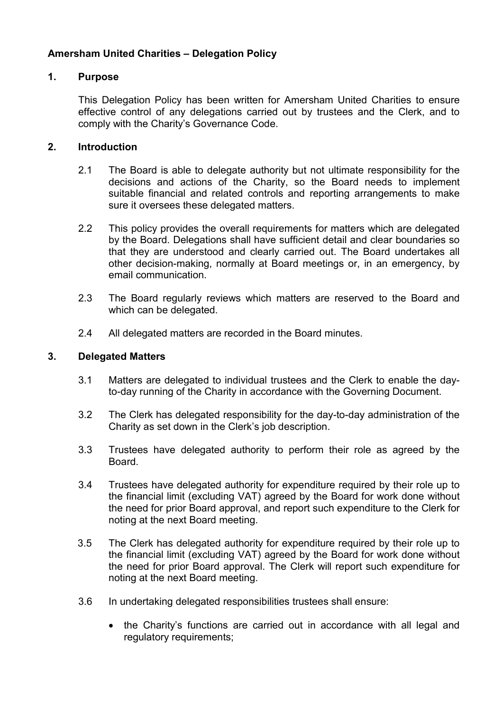# Amersham United Charities – Delegation Policy

# 1. Purpose

This Delegation Policy has been written for Amersham United Charities to ensure effective control of any delegations carried out by trustees and the Clerk, and to comply with the Charity's Governance Code.

# 2. Introduction

- 2.1 The Board is able to delegate authority but not ultimate responsibility for the decisions and actions of the Charity, so the Board needs to implement suitable financial and related controls and reporting arrangements to make sure it oversees these delegated matters.
- 2.2 This policy provides the overall requirements for matters which are delegated by the Board. Delegations shall have sufficient detail and clear boundaries so that they are understood and clearly carried out. The Board undertakes all other decision-making, normally at Board meetings or, in an emergency, by email communication.
- 2.3 The Board regularly reviews which matters are reserved to the Board and which can be delegated.
- 2.4 All delegated matters are recorded in the Board minutes.

# 3. Delegated Matters

- 3.1 Matters are delegated to individual trustees and the Clerk to enable the dayto-day running of the Charity in accordance with the Governing Document.
- 3.2 The Clerk has delegated responsibility for the day-to-day administration of the Charity as set down in the Clerk's job description.
- 3.3 Trustees have delegated authority to perform their role as agreed by the Board.
- 3.4 Trustees have delegated authority for expenditure required by their role up to the financial limit (excluding VAT) agreed by the Board for work done without the need for prior Board approval, and report such expenditure to the Clerk for noting at the next Board meeting.
- 3.5 The Clerk has delegated authority for expenditure required by their role up to the financial limit (excluding VAT) agreed by the Board for work done without the need for prior Board approval. The Clerk will report such expenditure for noting at the next Board meeting.
- 3.6 In undertaking delegated responsibilities trustees shall ensure:
	- the Charity's functions are carried out in accordance with all legal and regulatory requirements;